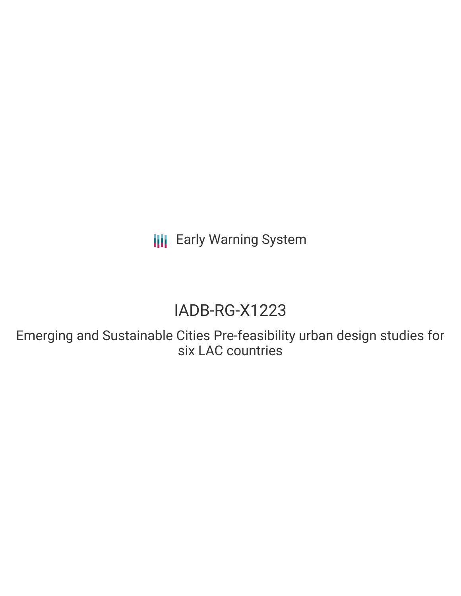**III** Early Warning System

# IADB-RG-X1223

Emerging and Sustainable Cities Pre-feasibility urban design studies for six LAC countries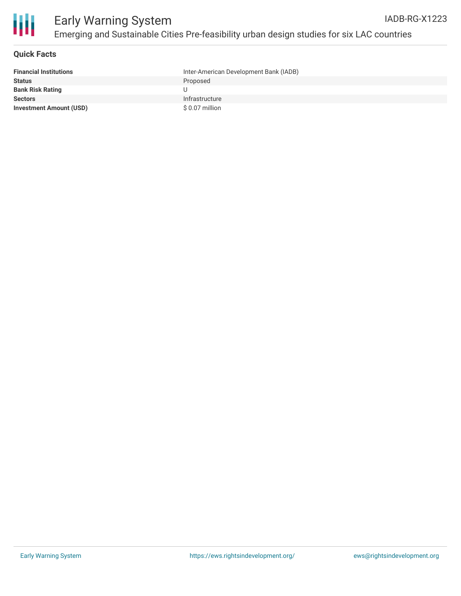

#### **Quick Facts**

| <b>Financial Institutions</b>  | Inter-American Development Bank (IADB) |
|--------------------------------|----------------------------------------|
| <b>Status</b>                  | Proposed                               |
| <b>Bank Risk Rating</b>        |                                        |
| <b>Sectors</b>                 | Infrastructure                         |
| <b>Investment Amount (USD)</b> | \$ 0.07 million                        |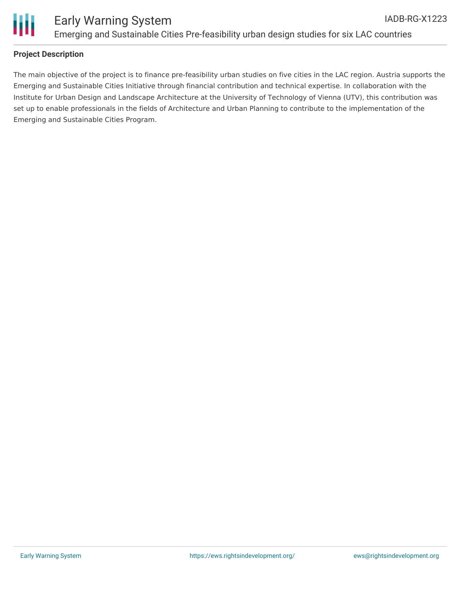

## **Project Description**

The main objective of the project is to finance pre-feasibility urban studies on five cities in the LAC region. Austria supports the Emerging and Sustainable Cities Initiative through financial contribution and technical expertise. In collaboration with the Institute for Urban Design and Landscape Architecture at the University of Technology of Vienna (UTV), this contribution was set up to enable professionals in the fields of Architecture and Urban Planning to contribute to the implementation of the Emerging and Sustainable Cities Program.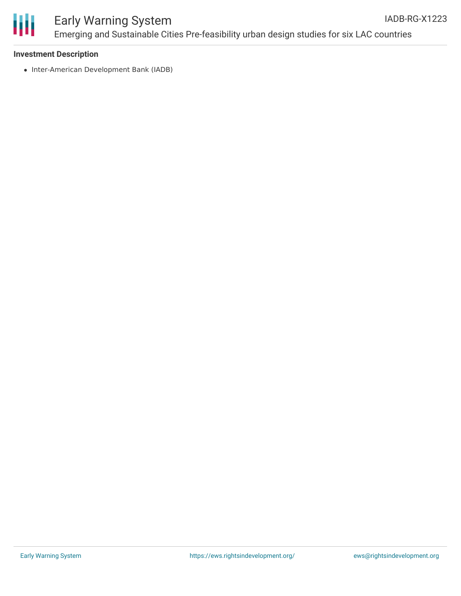

#### Early Warning System Emerging and Sustainable Cities Pre-feasibility urban design studies for six LAC countries IADB-RG-X1223

#### **Investment Description**

• Inter-American Development Bank (IADB)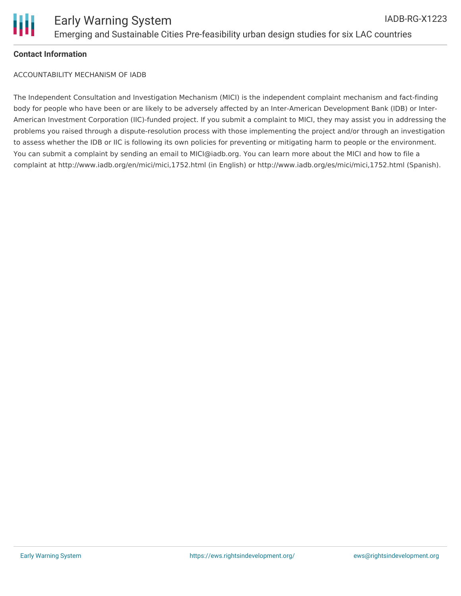

## **Contact Information**

ACCOUNTABILITY MECHANISM OF IADB

The Independent Consultation and Investigation Mechanism (MICI) is the independent complaint mechanism and fact-finding body for people who have been or are likely to be adversely affected by an Inter-American Development Bank (IDB) or Inter-American Investment Corporation (IIC)-funded project. If you submit a complaint to MICI, they may assist you in addressing the problems you raised through a dispute-resolution process with those implementing the project and/or through an investigation to assess whether the IDB or IIC is following its own policies for preventing or mitigating harm to people or the environment. You can submit a complaint by sending an email to MICI@iadb.org. You can learn more about the MICI and how to file a complaint at http://www.iadb.org/en/mici/mici,1752.html (in English) or http://www.iadb.org/es/mici/mici,1752.html (Spanish).